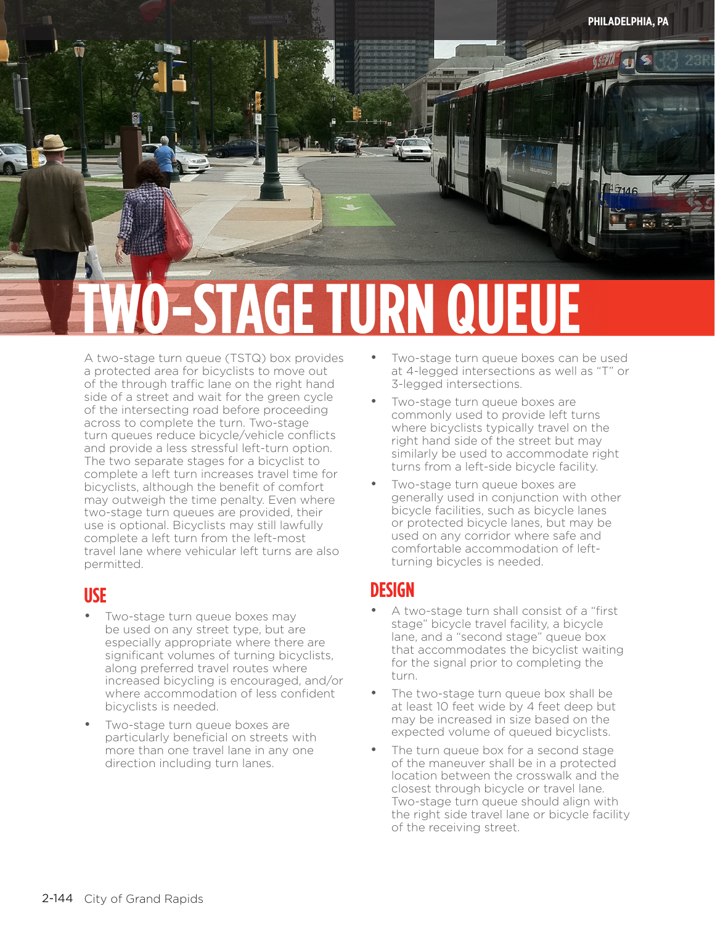

A two-stage turn queue (TSTQ) box provides a protected area for bicyclists to move out of the through traffic lane on the right hand side of a street and wait for the green cycle of the intersecting road before proceeding across to complete the turn. Two-stage turn queues reduce bicycle/vehicle conflicts and provide a less stressful left-turn option. The two separate stages for a bicyclist to complete a left turn increases travel time for bicyclists, although the benefit of comfort may outweigh the time penalty. Even where two-stage turn queues are provided, their use is optional. Bicyclists may still lawfully complete a left turn from the left-most travel lane where vehicular left turns are also permitted.

### **USE**

- Two-stage turn queue boxes may be used on any street type, but are especially appropriate where there are significant volumes of turning bicyclists, along preferred travel routes where increased bicycling is encouraged, and/or where accommodation of less confident bicyclists is needed.
- Two-stage turn queue boxes are particularly beneficial on streets with more than one travel lane in any one direction including turn lanes.
- Two-stage turn queue boxes can be used at 4-legged intersections as well as "T" or 3-legged intersections.
- Two-stage turn queue boxes are commonly used to provide left turns where bicyclists typically travel on the right hand side of the street but may similarly be used to accommodate right turns from a left-side bicycle facility.
- Two-stage turn queue boxes are generally used in conjunction with other bicycle facilities, such as bicycle lanes or protected bicycle lanes, but may be used on any corridor where safe and comfortable accommodation of leftturning bicycles is needed.

# **DESIGN**

- A two-stage turn shall consist of a "first" stage" bicycle travel facility, a bicycle lane, and a "second stage" queue box that accommodates the bicyclist waiting for the signal prior to completing the turn.
- The two-stage turn queue box shall be at least 10 feet wide by 4 feet deep but may be increased in size based on the expected volume of queued bicyclists.
- The turn queue box for a second stage of the maneuver shall be in a protected location between the crosswalk and the closest through bicycle or travel lane. Two-stage turn queue should align with the right side travel lane or bicycle facility of the receiving street.